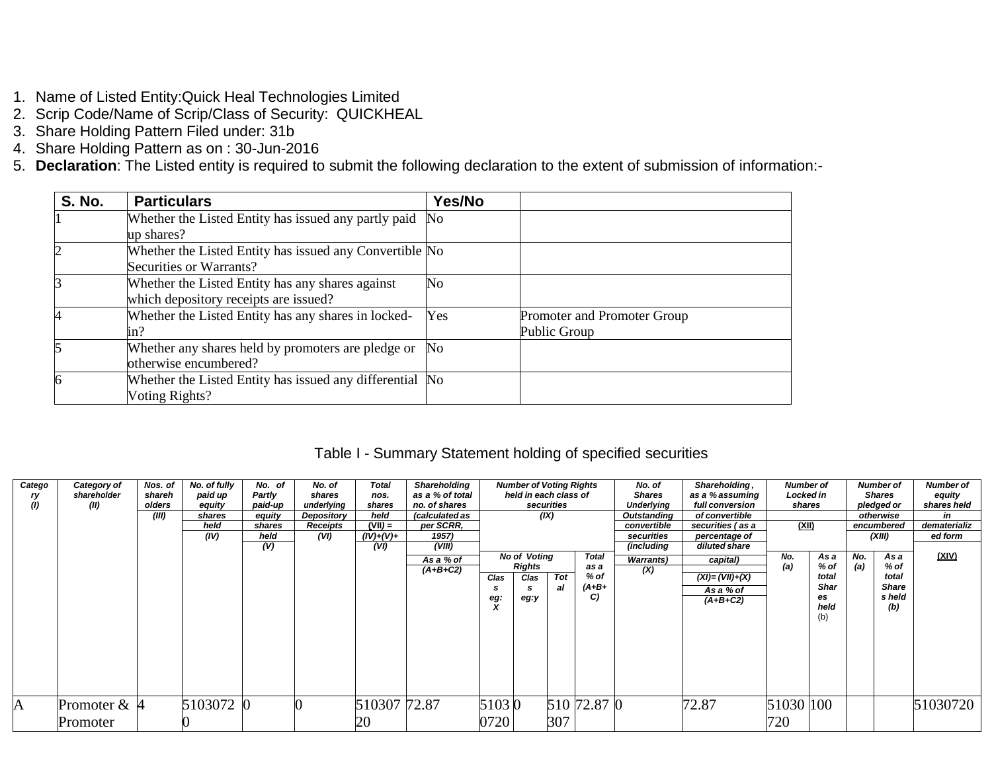- 1. Name of Listed Entity:Quick Heal Technologies Limited
- 2. Scrip Code/Name of Scrip/Class of Security: QUICKHEAL
- 3. Share Holding Pattern Filed under: 31b
- 4. Share Holding Pattern as on : 30-Jun-2016
- 5. **Declaration**: The Listed entity is required to submit the following declaration to the extent of submission of information:-

| <b>S. No.</b> | <b>Particulars</b>                                       | Yes/No         |                             |
|---------------|----------------------------------------------------------|----------------|-----------------------------|
|               | Whether the Listed Entity has issued any partly paid No  |                |                             |
|               | up shares?                                               |                |                             |
|               | Whether the Listed Entity has issued any Convertible No  |                |                             |
|               | Securities or Warrants?                                  |                |                             |
|               | Whether the Listed Entity has any shares against         | No             |                             |
|               | which depository receipts are issued?                    |                |                             |
|               | Whether the Listed Entity has any shares in locked-      | Yes            | Promoter and Promoter Group |
|               | in?                                                      |                | Public Group                |
|               | Whether any shares held by promoters are pledge or       | N <sub>o</sub> |                             |
|               | otherwise encumbered?                                    |                |                             |
| 6             | Whether the Listed Entity has issued any differential No |                |                             |
|               | Voting Rights?                                           |                |                             |

### Table I - Summary Statement holding of specified securities

| Catego | Category of    | Nos. of | No. of fully | No. of  | No. of     | <b>Total</b> | Shareholding    |       | <b>Number of Voting Rights</b> |            |              | No. of            | Shareholding,        | <b>Number of</b> |             |     | <b>Number of</b> | <b>Number of</b> |
|--------|----------------|---------|--------------|---------|------------|--------------|-----------------|-------|--------------------------------|------------|--------------|-------------------|----------------------|------------------|-------------|-----|------------------|------------------|
| ry     | shareholder    | shareh  | paid up      | Partly  | shares     | nos.         | as a % of total |       | held in each class of          |            |              | <b>Shares</b>     | as a % assuming      | Locked in        |             |     | <b>Shares</b>    | equity           |
| (1)    | (II)           | olders  | equity       | paid-up | underlying | shares       | no. of shares   |       |                                | securities |              | <b>Underlying</b> | full conversion      | shares           |             |     | pledged or       | shares held      |
|        |                | (III)   | shares       | equity  | Depository | held         | (calculated as  |       | (IX)                           |            |              | Outstanding       | of convertible       |                  |             |     | otherwise        | in               |
|        |                |         | held         | shares  | Receipts   | $(VII) =$    | per SCRR,       |       |                                |            |              | convertible       | securities (as a     | (XII)            |             |     | encumbered       | dematerializ     |
|        |                |         | (IV)         | held    | (VI)       | $(IV)+(V)+$  | 1957)           |       |                                |            |              | securities        | percentage of        |                  |             |     | (XIII)           | ed form          |
|        |                |         |              | (V)     |            | (VI)         | (VIII)          |       |                                |            |              | (including        | diluted share        |                  |             |     |                  |                  |
|        |                |         |              |         |            |              | As a % of       |       | <b>No of Voting</b>            |            | <b>Total</b> | <b>Warrants</b> ) | capital)             | No.              | As a        | No. | As a             | <u>(XIV)</u>     |
|        |                |         |              |         |            |              | $(A+B+C2)$      |       | Rights                         |            | as a         | (X)               |                      | (a)              | $%$ of      | (a) | % of             |                  |
|        |                |         |              |         |            |              |                 | Clas  | Clas                           | Tot        | % of         |                   | $(XI) = (VII) + (X)$ |                  | total       |     | total            |                  |
|        |                |         |              |         |            |              |                 |       |                                | al         | $(A+B+$      |                   | As a % of            |                  | <b>Shar</b> |     | <b>Share</b>     |                  |
|        |                |         |              |         |            |              |                 | eg:   | eg:y                           |            | C)           |                   | $(A+B+C2)$           |                  | es          |     | s held           |                  |
|        |                |         |              |         |            |              |                 |       |                                |            |              |                   |                      |                  | held        |     | (b)              |                  |
|        |                |         |              |         |            |              |                 |       |                                |            |              |                   |                      |                  | (b)         |     |                  |                  |
|        |                |         |              |         |            |              |                 |       |                                |            |              |                   |                      |                  |             |     |                  |                  |
|        |                |         |              |         |            |              |                 |       |                                |            |              |                   |                      |                  |             |     |                  |                  |
|        |                |         |              |         |            |              |                 |       |                                |            |              |                   |                      |                  |             |     |                  |                  |
|        |                |         |              |         |            |              |                 |       |                                |            |              |                   |                      |                  |             |     |                  |                  |
|        |                |         |              |         |            |              |                 |       |                                |            |              |                   |                      |                  |             |     |                  |                  |
|        |                |         |              |         |            |              |                 |       |                                |            |              |                   |                      |                  |             |     |                  |                  |
|        |                |         |              |         |            |              |                 |       |                                |            |              |                   |                      |                  |             |     |                  |                  |
| A      | Promoter $& 4$ |         | 5103072 0    |         |            | 510307 72.87 |                 | 51030 |                                |            | 510 72.87 0  |                   | 72.87                | 51030 100        |             |     |                  | 51030720         |
|        |                |         |              |         |            |              |                 |       |                                |            |              |                   |                      |                  |             |     |                  |                  |
|        | Promoter       |         |              |         |            | 20           |                 | 0720  |                                | 307        |              |                   |                      | 720              |             |     |                  |                  |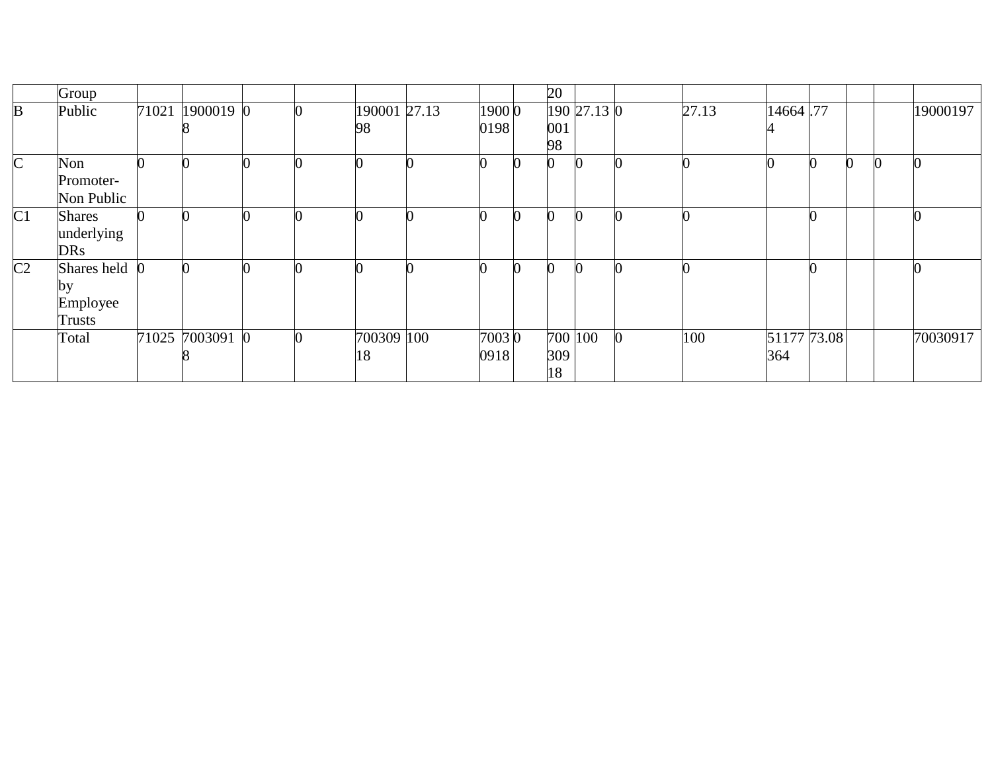|                | Group         |       |                 |  |              |        |   | 20  |             |       |             |                |          |              |          |
|----------------|---------------|-------|-----------------|--|--------------|--------|---|-----|-------------|-------|-------------|----------------|----------|--------------|----------|
| B              | Public        | 71021 | 1900019 0       |  | 190001 27.13 | 1900 0 |   |     | 190 27.13 0 | 27.13 | 14664.77    |                |          |              | 19000197 |
|                |               |       |                 |  | 98           | 0198   |   | 001 |             |       |             |                |          |              |          |
|                |               |       |                 |  |              |        |   | 98  |             |       |             |                |          |              |          |
| $\mathsf{C}$   | Non           |       |                 |  |              |        |   | 0   |             |       |             | $\overline{0}$ | $\bf{0}$ | $\mathbf{0}$ | $\bf{0}$ |
|                | Promoter-     |       |                 |  |              |        |   |     |             |       |             |                |          |              |          |
|                | Non Public    |       |                 |  |              |        |   |     |             |       |             |                |          |              |          |
| C1             | <b>Shares</b> |       |                 |  |              |        | ∩ |     |             |       |             |                |          |              |          |
|                | underlying    |       |                 |  |              |        |   |     |             |       |             |                |          |              |          |
|                | <b>DRs</b>    |       |                 |  |              |        |   |     |             |       |             |                |          |              |          |
| C <sub>2</sub> | Shares held   |       |                 |  |              |        |   |     |             |       |             |                |          |              |          |
|                | by            |       |                 |  |              |        |   |     |             |       |             |                |          |              |          |
|                | Employee      |       |                 |  |              |        |   |     |             |       |             |                |          |              |          |
|                | Trusts        |       |                 |  |              |        |   |     |             |       |             |                |          |              |          |
|                | Total         |       | 71025 7003091 0 |  | 700309 100   | 70030  |   |     | 700 100     | 100   | 51177 73.08 |                |          |              | 70030917 |
|                |               |       |                 |  | 18           | 0918   |   | 309 |             |       | 364         |                |          |              |          |
|                |               |       |                 |  |              |        |   | 18  |             |       |             |                |          |              |          |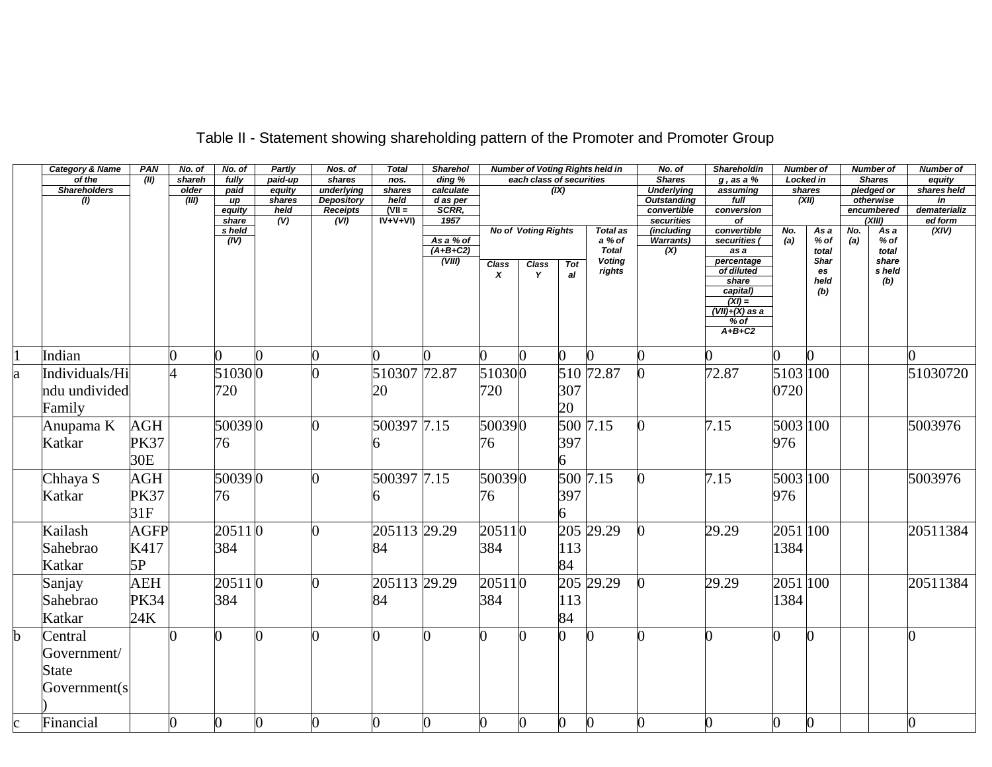|             | <b>Category &amp; Name</b> | PAN         | No. of         | No. of          | Partly         | Nos. of                              | <b>Total</b>               | <b>Sharehol</b>     |        |                            |                  | <b>Number of Voting Rights held in</b> | No. of                    | Shareholdin                 |          | <b>Number of</b> |     | <b>Number of</b>        | <b>Number of</b>               |
|-------------|----------------------------|-------------|----------------|-----------------|----------------|--------------------------------------|----------------------------|---------------------|--------|----------------------------|------------------|----------------------------------------|---------------------------|-----------------------------|----------|------------------|-----|-------------------------|--------------------------------|
|             | of the                     | (II)        | shareh         | fully           | paid-up        | shares                               | nos.                       | ding %              |        | each class of securities   |                  |                                        | <b>Shares</b>             | $g$ , as a $%$              |          | Locked in        |     | <b>Shares</b>           | equity                         |
|             | <b>Shareholders</b>        |             | older          | paid            | equity         | underlying                           | shares                     | calculate           |        |                            | (IX)             |                                        | <b>Underlying</b>         | assuming                    |          | shares           |     | pledged or              | shares held                    |
|             | (1)                        |             | (III)          | up              | shares<br>held | <b>Depository</b><br><b>Receipts</b> | held<br>$(VII =$           | $d$ as per<br>SCRR, |        |                            |                  |                                        | <b>Outstanding</b>        | full<br>conversion          |          | (XII)            |     | otherwise<br>encumbered | $\overline{m}$<br>dematerializ |
|             |                            |             |                | equity<br>share | (V)            | (VI)                                 | $\overrightarrow{IV+V+VI}$ | 1957                |        |                            |                  |                                        | convertible<br>securities | $\overline{of}$             |          |                  |     | $\chi$ iii)             | ed form                        |
|             |                            |             |                | s held          |                |                                      |                            |                     |        | <b>No of Voting Rights</b> |                  | <b>Total as</b>                        | (including                | convertible                 | No.      | As a             | No. | As a                    | (XIV)                          |
|             |                            |             |                | (IV)            |                |                                      |                            | As a % of           |        |                            |                  | a % of                                 | <b>Warrants)</b>          | securities (                | (a)      | $%$ of           | (a) | $%$ of                  |                                |
|             |                            |             |                |                 |                |                                      |                            | $(A+B+C2)$          |        |                            |                  | <b>Total</b>                           | (X)                       | as a                        |          | total            |     | total                   |                                |
|             |                            |             |                |                 |                |                                      |                            | (VIII)              | Class  | <b>Class</b>               | Tot              | <b>Voting</b>                          |                           | percentage                  |          | <b>Shar</b>      |     | share                   |                                |
|             |                            |             |                |                 |                |                                      |                            |                     | X      | Y                          | al               | rights                                 |                           | of diluted                  |          | es               |     | s held                  |                                |
|             |                            |             |                |                 |                |                                      |                            |                     |        |                            |                  |                                        |                           | share                       |          | held             |     | (b)                     |                                |
|             |                            |             |                |                 |                |                                      |                            |                     |        |                            |                  |                                        |                           | capital)<br>$(XI) =$        |          | (b)              |     |                         |                                |
|             |                            |             |                |                 |                |                                      |                            |                     |        |                            |                  |                                        |                           | $\overline{(VII)+(X)}$ as a |          |                  |     |                         |                                |
|             |                            |             |                |                 |                |                                      |                            |                     |        |                            |                  |                                        |                           | $%$ of                      |          |                  |     |                         |                                |
|             |                            |             |                |                 |                |                                      |                            |                     |        |                            |                  |                                        |                           | $A+B+C2$                    |          |                  |     |                         |                                |
|             |                            |             |                |                 |                |                                      |                            |                     |        |                            |                  |                                        |                           |                             |          |                  |     |                         |                                |
|             | Indian                     |             |                |                 |                |                                      |                            |                     |        |                            |                  |                                        |                           |                             |          |                  |     |                         |                                |
| a           | Individuals/Hi             |             | $\overline{4}$ | 510300          |                |                                      | 510307 72.87               |                     | 510300 |                            |                  | 510 72.87                              |                           | 72.87                       | 5103 100 |                  |     |                         | 51030720                       |
|             | ndu undivided              |             |                | 720             |                |                                      | 20                         |                     | 720    |                            | 307              |                                        |                           |                             | 0720     |                  |     |                         |                                |
|             |                            |             |                |                 |                |                                      |                            |                     |        |                            |                  |                                        |                           |                             |          |                  |     |                         |                                |
|             | Family                     |             |                |                 |                |                                      |                            |                     |        |                            | 20               |                                        |                           |                             |          |                  |     |                         |                                |
|             | Anupama K                  | <b>AGH</b>  |                | 500390          |                | 0                                    | 500397 7.15                |                     | 500390 |                            |                  | 500 7.15                               |                           | 7.15                        | 5003 100 |                  |     |                         | 5003976                        |
|             | Katkar                     | <b>PK37</b> |                | 76              |                |                                      |                            |                     | 76     |                            | 397              |                                        |                           |                             | 976      |                  |     |                         |                                |
|             |                            |             |                |                 |                |                                      |                            |                     |        |                            |                  |                                        |                           |                             |          |                  |     |                         |                                |
|             |                            | 30E         |                |                 |                |                                      |                            |                     |        |                            |                  |                                        |                           |                             |          |                  |     |                         |                                |
|             | Chhaya S                   | <b>AGH</b>  |                | 500390          |                |                                      | 500397 7.15                |                     | 500390 |                            |                  | 500 7.15                               |                           | 7.15                        | 5003 100 |                  |     |                         | 5003976                        |
|             | Katkar                     | <b>PK37</b> |                | 76              |                |                                      |                            |                     | 76     |                            | 397              |                                        |                           |                             | 976      |                  |     |                         |                                |
|             |                            |             |                |                 |                |                                      |                            |                     |        |                            |                  |                                        |                           |                             |          |                  |     |                         |                                |
|             |                            | 31F         |                |                 |                |                                      |                            |                     |        |                            |                  |                                        |                           |                             |          |                  |     |                         |                                |
|             | Kailash                    | <b>AGFP</b> |                | 205110          |                | 0                                    | 205113 29.29               |                     | 205110 |                            |                  | 205 29.29                              |                           | 29.29                       | 2051 100 |                  |     |                         | 20511384                       |
|             | Sahebrao                   | K417        |                | 384             |                |                                      | 84                         |                     | 384    |                            | 113              |                                        |                           |                             | 1384     |                  |     |                         |                                |
|             | Katkar                     | 5P          |                |                 |                |                                      |                            |                     |        |                            | 84               |                                        |                           |                             |          |                  |     |                         |                                |
|             |                            |             |                |                 |                |                                      |                            |                     |        |                            |                  |                                        |                           |                             |          |                  |     |                         |                                |
|             | Sanjay                     | <b>AEH</b>  |                | 205110          |                |                                      | 205113 29.29               |                     | 205110 |                            |                  | 205 29.29                              |                           | 29.29                       | 2051 100 |                  |     |                         | 20511384                       |
|             | Sahebrao                   | <b>PK34</b> |                | 384             |                |                                      | 84                         |                     | 384    |                            | 113              |                                        |                           |                             | 1384     |                  |     |                         |                                |
|             | Katkar                     | 24K         |                |                 |                |                                      |                            |                     |        |                            | 84               |                                        |                           |                             |          |                  |     |                         |                                |
| $\mathbf b$ | Central                    |             |                | 0               |                |                                      | n                          | ∩                   |        | n                          |                  |                                        |                           |                             | ∩        | ∩                |     |                         | <sub>0</sub>                   |
|             |                            |             |                |                 |                |                                      |                            |                     |        |                            |                  |                                        |                           |                             |          |                  |     |                         |                                |
|             | Government/                |             |                |                 |                |                                      |                            |                     |        |                            |                  |                                        |                           |                             |          |                  |     |                         |                                |
|             | <b>State</b>               |             |                |                 |                |                                      |                            |                     |        |                            |                  |                                        |                           |                             |          |                  |     |                         |                                |
|             | Government(s               |             |                |                 |                |                                      |                            |                     |        |                            |                  |                                        |                           |                             |          |                  |     |                         |                                |
|             |                            |             |                |                 |                |                                      |                            |                     |        |                            |                  |                                        |                           |                             |          |                  |     |                         |                                |
|             | Financial                  |             |                | $\overline{0}$  | 0              |                                      | O.                         |                     |        | 0                          |                  | 0                                      |                           | $\Omega$                    |          | 0                |     |                         | O.                             |
| $\mathbf c$ |                            |             |                |                 |                |                                      |                            |                     |        |                            | $\boldsymbol{0}$ |                                        |                           |                             |          |                  |     |                         |                                |

# Table II - Statement showing shareholding pattern of the Promoter and Promoter Group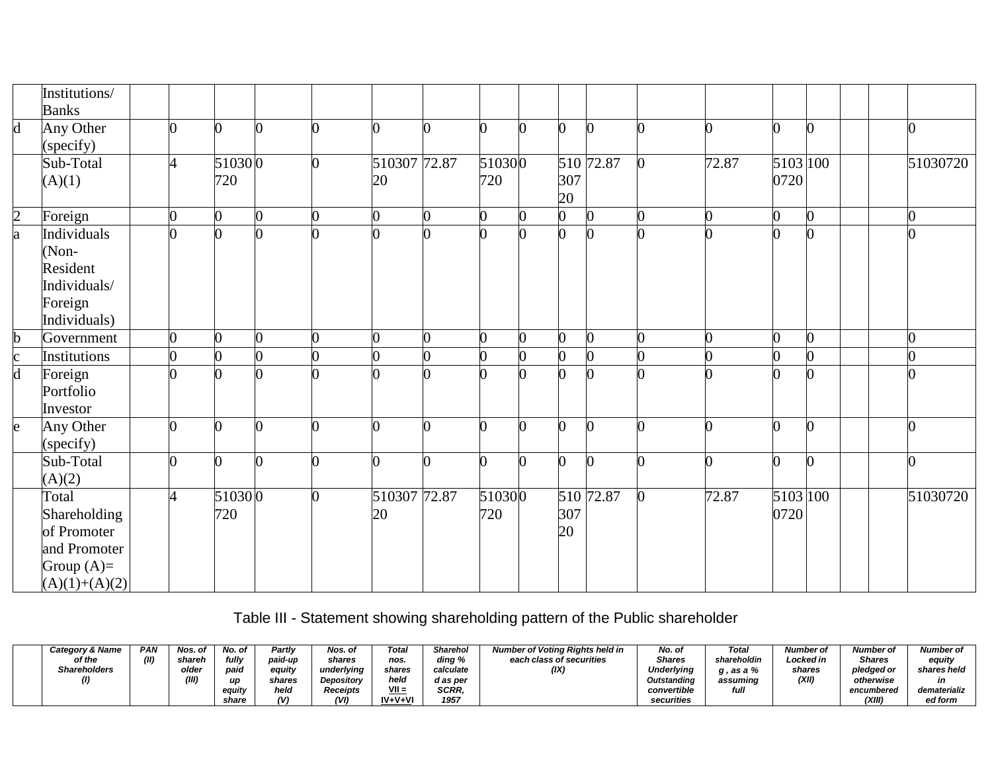|                         | Institutions/<br><b>Banks</b>                                                           |                |                |   |                    |                |               |   |                |                |       |                  |                |                |
|-------------------------|-----------------------------------------------------------------------------------------|----------------|----------------|---|--------------------|----------------|---------------|---|----------------|----------------|-------|------------------|----------------|----------------|
| $\mathbf d$             | Any Other<br>(specify)                                                                  | 0              | 0              | ∩ | 0                  |                | ∩             | n | $\overline{0}$ | $\mathbf{0}$   | ∩     | 0                | $\overline{0}$ | $\bf{0}$       |
|                         | Sub-Total<br>(A)(1)                                                                     |                | 510300<br>720  |   | 510307 72.87<br>20 |                | 510300<br>720 |   | 307<br>20      | 510 72.87      | 72.87 | 5103 100<br>0720 |                | 51030720       |
| $\overline{2}$          | Foreign                                                                                 | $\overline{0}$ | $\overline{0}$ | 0 | 0                  | $\overline{0}$ | 0             |   | 0              | $\mathbf{0}$   |       | $\overline{0}$   | $\overline{0}$ | $\overline{0}$ |
| a                       | Individuals<br>(Non-<br>Resident<br>Individuals/<br>Foreign<br>Individuals)             |                |                |   |                    |                |               |   | 0              | n              |       |                  | 0              |                |
| $\mathbf b$             | Government                                                                              | $\overline{0}$ | $\overline{0}$ |   |                    | 0              |               | 0 | 0              | $\Omega$       |       | $\overline{0}$   | $\Omega$       | O              |
| $\mathbf c$             | Institutions                                                                            | $\overline{0}$ | 0              |   |                    |                |               |   | 0              | $\overline{0}$ |       |                  | 0              |                |
| $\overline{\mathbf{d}}$ | Foreign<br>Portfolio<br>Investor                                                        | $\Omega$       | ∩              |   |                    |                | ∩             |   | <sup>o</sup>   | ∩              |       |                  | $\Omega$       | O              |
| e                       | Any Other<br>(specify)                                                                  | ∩              |                |   |                    | 0              |               |   | 0              | <sup>0</sup>   |       | ∩                | $\bf{0}$       | <sup>o</sup>   |
|                         | Sub-Total<br>(A)(2)                                                                     | $\overline{0}$ | $\overline{0}$ | ∩ | 0                  | 0              | ∩             | 0 | $\overline{0}$ | $\bf{0}$       |       | $\overline{0}$   | $\mathbf{0}$   | $\overline{0}$ |
|                         | Total<br>Shareholding<br>of Promoter<br>and Promoter<br>Group $(A)=$<br>$(A)(1)+(A)(2)$ | $\overline{A}$ | 510300<br>720  | ∩ | 510307 72.87<br>20 |                | 510300<br>720 |   | 307<br>20      | 510 72.87      | 72.87 | 5103 100<br>0720 |                | 51030720       |

Table III - Statement showing shareholding pattern of the Public shareholder

| Category & Name     | <b>PAN</b> | Nos. of | No. of | Partly  | Nos. of         | Total         | Sharehol     | Number of Voting Rights held in | No. of            | Total       | Number of | <b>Number of</b> | <b>Number of</b> |
|---------------------|------------|---------|--------|---------|-----------------|---------------|--------------|---------------------------------|-------------------|-------------|-----------|------------------|------------------|
| of the              | (II)       | shareh  | fullv  | paid-up | shares          | nos.          | ding %       | each class of securities        | <b>Shares</b>     | shareholdin | Locked in | Shares           | equity           |
| <b>Shareholders</b> |            | olde    | paio   | equity  | underlvina      | shares        | calculate    | (IX)                            | <b>Underlying</b> | . as a %    | shares    | pledged or       | shares held      |
| (1)                 |            | (III)   |        | shares  | Depository      | held          | d as per     |                                 | Outstanding       | assuming    | (XII)     | otherwise        | in               |
|                     |            |         | eauitv | held    | <b>Receipts</b> | $VII =$       | <b>SCRR.</b> |                                 | convertible       | full        |           | encumbered       | dematerializ     |
|                     |            |         | share  |         | (VI)            | $IV + V + VI$ | 1957         |                                 | securities        |             |           | (XIII)           | ed form          |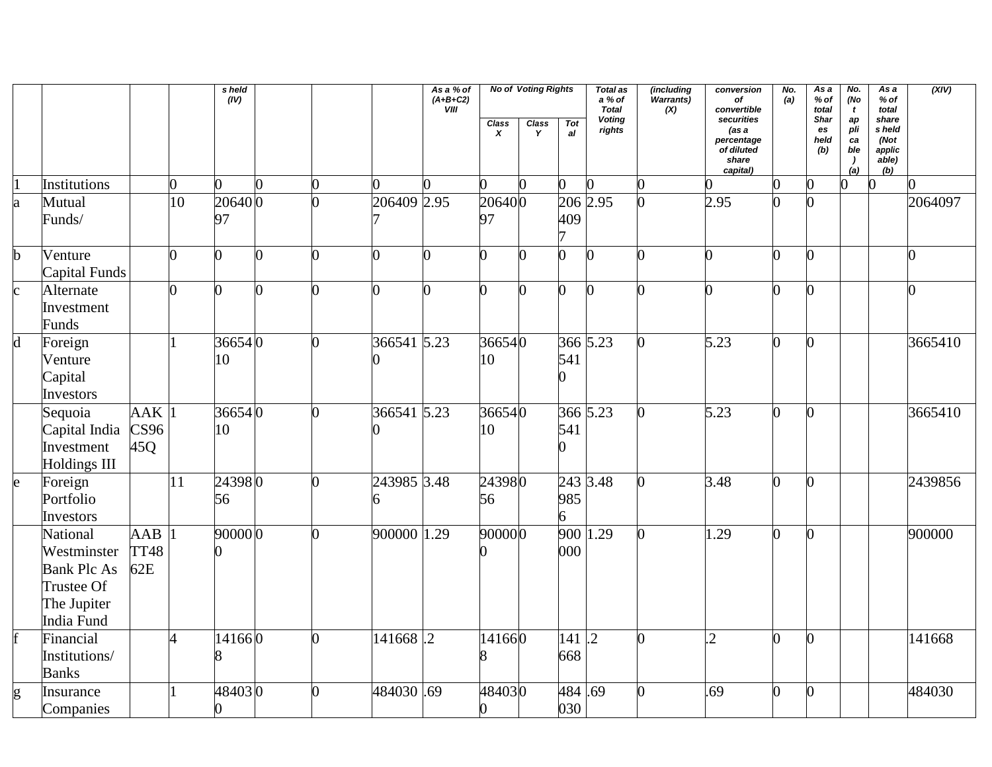|             |                                                                                          |                    |    | s held<br>(IV) |              |             | As a % of<br>$(A+B+C2)$<br><b>VIII</b> |                                  | <b>No of Voting Rights</b> |                      | <b>Total as</b><br>a % of<br><b>Total</b> | (including<br>Warrants)<br>(X) | conversion<br>of<br>convertible                                      | No.<br>(a) | As a<br>$%$ of<br>total   | No.<br>(No<br>$\mathbf{t}$                      | As a<br>$%$ of<br>total                           | (XIV)   |
|-------------|------------------------------------------------------------------------------------------|--------------------|----|----------------|--------------|-------------|----------------------------------------|----------------------------------|----------------------------|----------------------|-------------------------------------------|--------------------------------|----------------------------------------------------------------------|------------|---------------------------|-------------------------------------------------|---------------------------------------------------|---------|
|             |                                                                                          |                    |    |                |              |             |                                        | <b>Class</b><br>$\boldsymbol{x}$ | <b>Class</b><br>Y          | Tot<br>al            | <b>Voting</b><br>rights                   |                                | securities<br>(as a<br>percentage<br>of diluted<br>share<br>capital) |            | Shar<br>es<br>held<br>(b) | ap<br>pli<br>ca<br>ble<br>$\overline{ }$<br>(a) | share<br>s held<br>(Not<br>applic<br>able)<br>(b) |         |
|             | Institutions                                                                             |                    | n  | $\overline{0}$ | $\Omega$     |             |                                        | 0                                |                            | O.                   |                                           |                                |                                                                      | 0          | $\overline{0}$            | $\overline{0}$                                  | $\bf{0}$                                          |         |
| a           | Mutual<br>Funds/                                                                         |                    | 10 | 206400<br>97   |              | 206409 2.95 |                                        | 206400<br>97                     |                            | 206 2.95<br>409      |                                           |                                | 2.95                                                                 |            | $\overline{0}$            |                                                 |                                                   | 2064097 |
| $\mathbf b$ | Venture<br>Capital Funds                                                                 |                    | O  | 0              | ⋂            |             |                                        | 0                                |                            | 0                    | <sup>0</sup>                              |                                | ∩                                                                    |            | $\overline{0}$            |                                                 |                                                   | 0       |
| $\mathbf c$ | Alternate<br>Investment<br>Funds                                                         |                    | 0  | $\Omega$       | 0            |             |                                        | 0                                | ∩                          | O                    | O                                         |                                |                                                                      |            | 0                         |                                                 |                                                   | 0       |
| $\mathbf d$ | Foreign<br>Venture<br>Capital<br>Investors                                               |                    |    | 366540<br>10   | 0            | 366541 5.23 |                                        | 366540<br>10                     |                            | 366 5.23<br>541      |                                           |                                | 5.23                                                                 |            | 0                         |                                                 |                                                   | 3665410 |
|             | Sequoia<br>Capital India<br>Investment<br><b>Holdings III</b>                            | AAK<br>CS96<br>45Q |    | 366540<br>10   | O            | 366541 5.23 |                                        | 366540<br>10                     |                            | 366 5.23<br>541      |                                           |                                | 5.23                                                                 | n          | $\overline{0}$            |                                                 |                                                   | 3665410 |
| e           | Foreign<br>Portfolio<br>Investors                                                        |                    | 11 | 243980<br>56   | 0            | 243985 3.48 |                                        | 243980<br>56                     |                            | 243 3.48<br>985<br>6 |                                           |                                | 3.48                                                                 |            | $\overline{0}$            |                                                 |                                                   | 2439856 |
|             | National<br>Westminster<br><b>Bank Plc As</b><br>Trustee Of<br>The Jupiter<br>India Fund | AAB<br>TT48<br>62E |    | 90000 0        | <sup>o</sup> | 900000 1.29 |                                        | 900000                           |                            | 900<br>000           | 1.29                                      |                                | 1.29                                                                 |            | $\Omega$                  |                                                 |                                                   | 900000  |
|             | Financial<br>Institutions/<br><b>Banks</b>                                               |                    | 4  | 141660         | 0            | 141668.2    |                                        | 141660                           |                            | 141<br>668           | $\overline{.2}$                           |                                | $\overline{c}$                                                       | O          | $\overline{0}$            |                                                 |                                                   | 141668  |
| g           | Insurance<br>Companies                                                                   |                    |    | 484030<br>0    | 0            | 484030.69   |                                        | 484030<br>0                      |                            | 484.69<br>030        |                                           |                                | .69                                                                  | O.         | $\overline{0}$            |                                                 |                                                   | 484030  |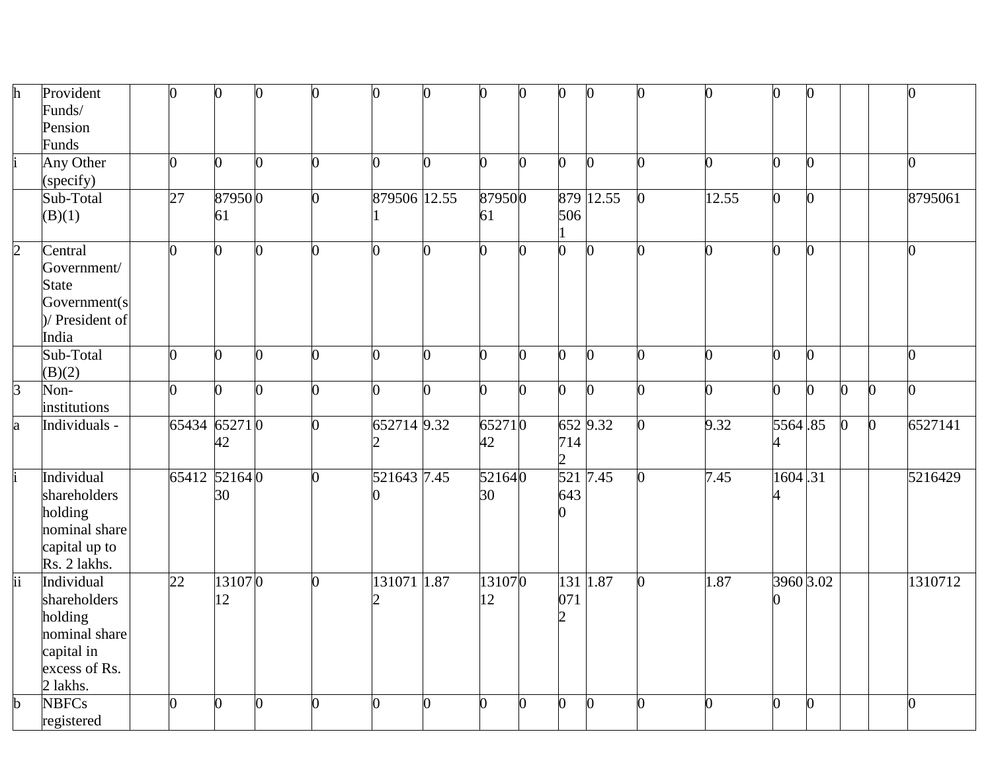| h                        | Provident       | $\overline{0}$  | 0      | O  | $\overline{0}$ | 0              | 0        | 0      | 0 | $\theta$       | 0            |   | ∩     | O.             | $\mathbf{0}$   |          |              | 0              |
|--------------------------|-----------------|-----------------|--------|----|----------------|----------------|----------|--------|---|----------------|--------------|---|-------|----------------|----------------|----------|--------------|----------------|
|                          | Funds/          |                 |        |    |                |                |          |        |   |                |              |   |       |                |                |          |              |                |
|                          | Pension         |                 |        |    |                |                |          |        |   |                |              |   |       |                |                |          |              |                |
|                          | Funds           |                 |        |    |                |                |          |        |   |                |              |   |       |                |                |          |              |                |
|                          | Any Other       | $\overline{0}$  | 0      | O. | 0              | 0              | O.       | 0      | 0 | $\overline{0}$ | <sup>0</sup> |   | ⋂     | $\Omega$       | O.             |          |              | $\overline{0}$ |
|                          | (specify)       |                 |        |    |                |                |          |        |   |                |              |   |       |                |                |          |              |                |
|                          |                 |                 |        |    |                |                |          |        |   |                | 879 12.55    |   |       | $\overline{0}$ |                |          |              |                |
|                          | Sub-Total       | $\overline{27}$ | 879500 |    | 0              | 879506 12.55   |          | 879500 |   |                |              |   | 12.55 |                | $\mathbf{0}$   |          |              | 8795061        |
|                          | (B)(1)          |                 | 61     |    |                |                |          | 61     |   | 506            |              |   |       |                |                |          |              |                |
|                          |                 |                 |        |    |                |                |          |        |   |                |              |   |       |                |                |          |              |                |
| $\overline{2}$           | Central         | $\overline{0}$  | 0      | 0  | $\overline{0}$ | 0              | 0        | 0      | 0 | 0              | $\mathbf{0}$ |   | 0     | $\Omega$       | $\overline{0}$ |          |              | $\overline{0}$ |
|                          | Government/     |                 |        |    |                |                |          |        |   |                |              |   |       |                |                |          |              |                |
|                          | <b>State</b>    |                 |        |    |                |                |          |        |   |                |              |   |       |                |                |          |              |                |
|                          | Government(s)   |                 |        |    |                |                |          |        |   |                |              |   |       |                |                |          |              |                |
|                          | )/ President of |                 |        |    |                |                |          |        |   |                |              |   |       |                |                |          |              |                |
|                          | India           |                 |        |    |                |                |          |        |   |                |              |   |       |                |                |          |              |                |
|                          | Sub-Total       | $\overline{0}$  | 0      | O  | 0              | $\Omega$       | $\Omega$ | 0      | 0 | $\overline{0}$ | $\Omega$     | ∩ | ∩     | $\overline{0}$ | $\overline{0}$ |          |              | $\overline{0}$ |
|                          | (B)(2)          |                 |        |    |                |                |          |        |   |                |              |   |       |                |                |          |              |                |
| $\overline{3}$           | Non-            | $\overline{0}$  | 0      | O  | $\overline{0}$ | O.             | ∩        | 0      | 0 | $\overline{0}$ | $\Omega$     |   | ∩     | $\Omega$       | $\Omega$       | $\Omega$ | $\mathbf{0}$ | $\overline{0}$ |
|                          | institutions    |                 |        |    |                |                |          |        |   |                |              |   |       |                |                |          |              |                |
| a                        | Individuals -   | 65434 65271 0   |        |    | O              | 652714 9.32    |          | 652710 |   |                | 652 9.32     |   | 9.32  | 5564.85        |                | $\Omega$ | $\mathbf{0}$ | 6527141        |
|                          |                 |                 | 42     |    |                | 2              |          | 42     |   | 714            |              |   |       | 4              |                |          |              |                |
|                          |                 |                 |        |    |                |                |          |        |   | $\overline{2}$ |              |   |       |                |                |          |              |                |
|                          | Individual      | 65412 521640    |        |    | O.             | 521643 7.45    |          | 521640 |   | 521            | 7.45         |   | 7.45  | 1604.31        |                |          |              | 5216429        |
|                          | shareholders    |                 | 30     |    |                |                |          | 30     |   | 643            |              |   |       |                |                |          |              |                |
|                          | holding         |                 |        |    |                |                |          |        |   |                |              |   |       |                |                |          |              |                |
|                          | nominal share   |                 |        |    |                |                |          |        |   |                |              |   |       |                |                |          |              |                |
|                          | capital up to   |                 |        |    |                |                |          |        |   |                |              |   |       |                |                |          |              |                |
|                          | Rs. 2 lakhs.    |                 |        |    |                |                |          |        |   |                |              |   |       |                |                |          |              |                |
| $\overline{\mathrm{ii}}$ | Individual      | 22              | 131070 |    | 0              | 131071 1.87    |          | 131070 |   | 131            | 1.87         |   | 1.87  | 3960 3.02      |                |          |              | 1310712        |
|                          | shareholders    |                 | 12     |    |                |                |          | 12     |   | 071            |              |   |       |                |                |          |              |                |
|                          | holding         |                 |        |    |                |                |          |        |   |                |              |   |       |                |                |          |              |                |
|                          |                 |                 |        |    |                |                |          |        |   |                |              |   |       |                |                |          |              |                |
|                          | nominal share   |                 |        |    |                |                |          |        |   |                |              |   |       |                |                |          |              |                |
|                          | capital in      |                 |        |    |                |                |          |        |   |                |              |   |       |                |                |          |              |                |
|                          | excess of Rs.   |                 |        |    |                |                |          |        |   |                |              |   |       |                |                |          |              |                |
|                          | 2 lakhs.        |                 |        |    |                |                |          |        |   |                |              |   |       |                |                |          |              |                |
| $\mathbf b$              | <b>NBFCs</b>    | $\overline{0}$  | 0      | 0  | 0              | $\overline{0}$ | $\bf{0}$ | 0      | 0 | 0              | $\Omega$     |   | ∩     | $\overline{0}$ | $\mathbf{0}$   |          |              | $\overline{0}$ |
|                          | registered      |                 |        |    |                |                |          |        |   |                |              |   |       |                |                |          |              |                |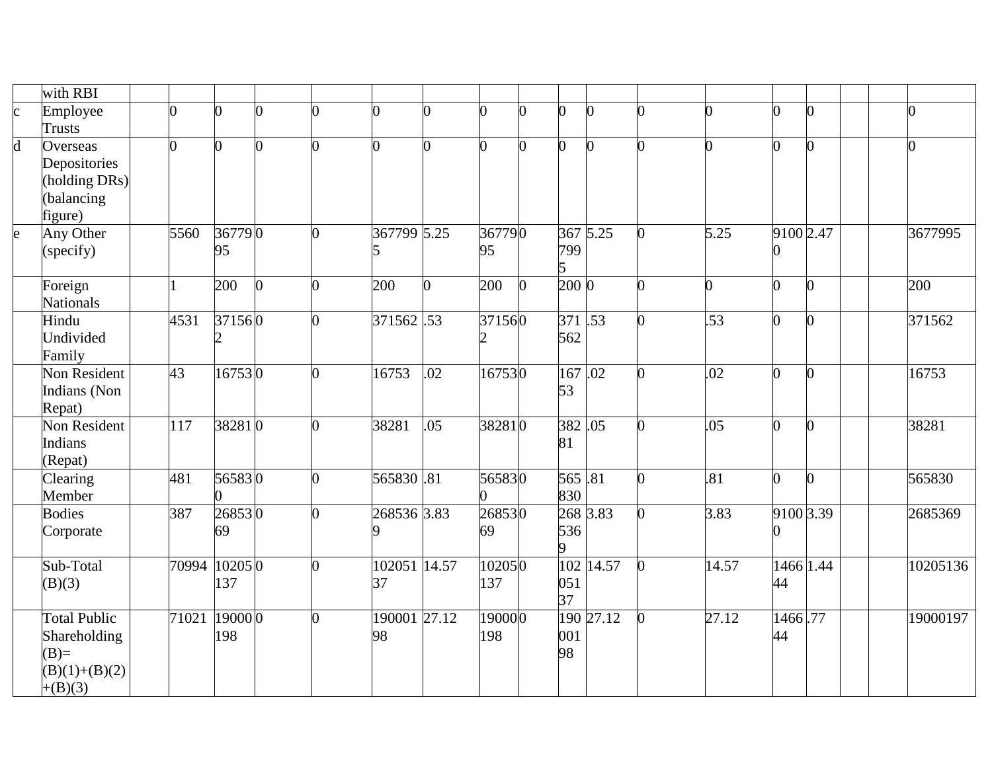|                         | with RBI            |                 |               |          |   |                |                |        |   |          |           |    |       |           |   |   |          |
|-------------------------|---------------------|-----------------|---------------|----------|---|----------------|----------------|--------|---|----------|-----------|----|-------|-----------|---|---|----------|
| $\mathbf{c}$            | Employee            | ∩               | በ             | 0        |   | 0              | O              |        |   | 0        |           |    |       | $\Omega$  |   | ∩ |          |
|                         | Trusts              |                 |               |          |   |                |                |        |   |          |           |    |       |           |   |   |          |
| $\overline{\mathbf{d}}$ | Overseas            | 0               | 0             | 0        | ∩ | $\overline{0}$ | 0              |        |   | 0        |           |    |       | 0         |   |   |          |
|                         | Depositories        |                 |               |          |   |                |                |        |   |          |           |    |       |           |   |   |          |
|                         | (holding DRs)       |                 |               |          |   |                |                |        |   |          |           |    |       |           |   |   |          |
|                         | (balancing          |                 |               |          |   |                |                |        |   |          |           |    |       |           |   |   |          |
|                         | figure)             |                 |               |          |   |                |                |        |   |          |           |    |       |           |   |   |          |
| e                       | Any Other           | 5560            | 367790        |          | ∩ | 367799 5.25    |                | 367790 |   |          | 367 5.25  | O. | 5.25  | 9100 2.47 |   |   | 3677995  |
|                         | (specify)           |                 | 95            |          |   | 15             |                | 95     |   | 799<br>5 |           |    |       |           |   |   |          |
|                         | Foreign             |                 | 200           | $\Omega$ | 0 | 200            | $\overline{0}$ | 200    | n | $200\,0$ |           | ∩  | n.    | 0         | n |   | 200      |
|                         | <b>Nationals</b>    |                 |               |          |   |                |                |        |   |          |           |    |       |           |   |   |          |
|                         | Hindu               | 4531            | 371560        |          | 0 | 371562.53      |                | 371560 |   | 371.53   |           |    | .53   | 0         |   |   | 371562   |
|                         | Undivided           |                 |               |          |   |                |                |        |   | 562      |           |    |       |           |   |   |          |
|                         | Family              |                 |               |          |   |                |                |        |   |          |           |    |       |           |   |   |          |
|                         | Non Resident        | $\overline{43}$ | 167530        |          | 0 | 16753          | .02            | 167530 |   | 167.02   |           |    | .02   | 0         | 0 |   | 16753    |
|                         | Indians (Non        |                 |               |          |   |                |                |        |   | 53       |           |    |       |           |   |   |          |
|                         | Repat)              |                 |               |          |   |                |                |        |   |          |           |    |       |           |   |   |          |
|                         | <b>Non Resident</b> | 117             | 382810        |          |   | 38281          | .05            | 382810 |   | 382.05   |           |    | .05   | 0         |   |   | 38281    |
|                         | Indians             |                 |               |          |   |                |                |        |   | 81       |           |    |       |           |   |   |          |
|                         | (Repat)             |                 |               |          |   |                |                |        |   |          |           |    |       |           |   |   |          |
|                         | Clearing            | 481             | 565830        |          | 0 | 565830.81      |                | 565830 |   | 565.81   |           |    | .81   | 0         | 0 |   | 565830   |
|                         | Member              |                 |               |          |   |                |                |        |   | 830      |           |    |       |           |   |   |          |
|                         | <b>Bodies</b>       | 387             | 268530        |          | 0 | 268536 3.83    |                | 268530 |   |          | 268 3.83  |    | 3.83  | 9100 3.39 |   |   | 2685369  |
|                         | Corporate           |                 | 69            |          |   | Q              |                | 69     |   | 536      |           |    |       |           |   |   |          |
|                         |                     |                 |               |          |   |                |                |        |   | 9        |           |    |       |           |   |   |          |
|                         | Sub-Total           |                 | 70994 10205 0 |          | 0 | 102051 14.57   |                | 102050 |   |          | 102 14.57 |    | 14.57 | 1466 1.44 |   |   | 10205136 |
|                         | (B)(3)              |                 | 137           |          |   | 37             |                | 137    |   | 051      |           |    |       | 44        |   |   |          |
|                         |                     |                 |               |          |   |                |                |        |   | 37       |           |    |       |           |   |   |          |
|                         | Total Public        | 71021           | 19000 0       |          |   | 190001 27.12   |                | 190000 |   |          | 190 27.12 |    | 27.12 | 1466.77   |   |   | 19000197 |
|                         | Shareholding        |                 | 198           |          |   | 98             |                | 198    |   | 001      |           |    |       | 44        |   |   |          |
|                         | $(B)=$              |                 |               |          |   |                |                |        |   | 98       |           |    |       |           |   |   |          |
|                         | $(B)(1)+(B)(2)$     |                 |               |          |   |                |                |        |   |          |           |    |       |           |   |   |          |
|                         | $+(B)(3)$           |                 |               |          |   |                |                |        |   |          |           |    |       |           |   |   |          |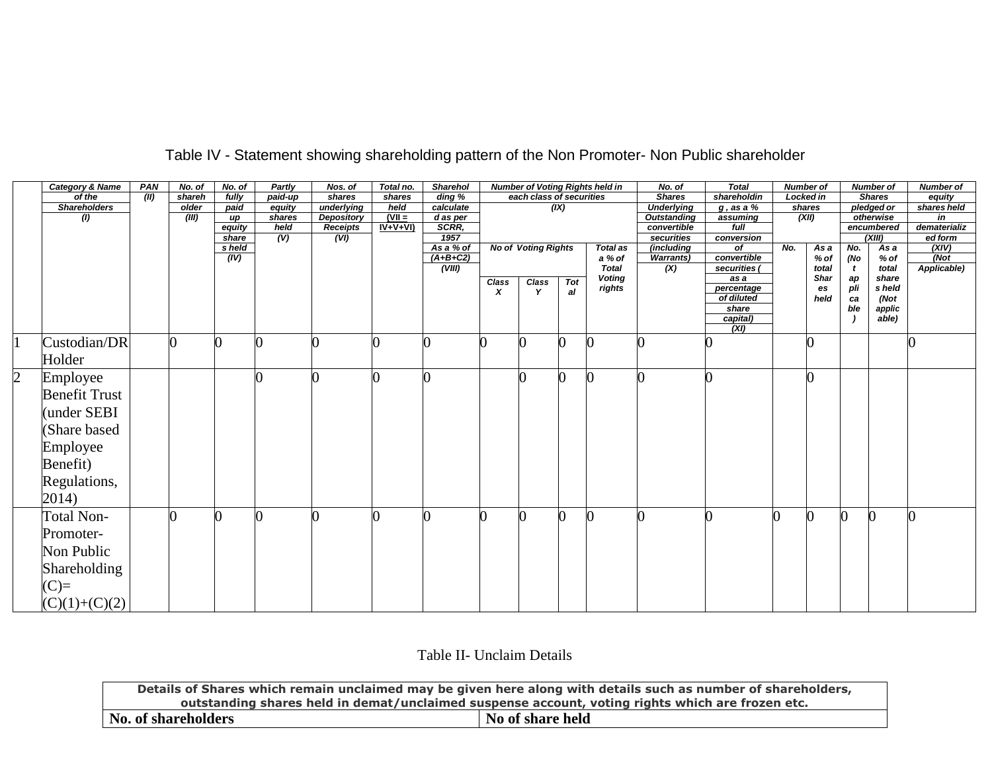|                | <b>Category &amp; Name</b> | <b>PAN</b>    | No. of | No. of | <b>Partly</b>             | Nos. of           | Total no. | <b>Sharehol</b>      |       |                            |     | <b>Number of Voting Rights held in</b> | No. of             | <b>Total</b>         |     | <b>Number of</b>     |           | <b>Number of</b> | <b>Number of</b>          |
|----------------|----------------------------|---------------|--------|--------|---------------------------|-------------------|-----------|----------------------|-------|----------------------------|-----|----------------------------------------|--------------------|----------------------|-----|----------------------|-----------|------------------|---------------------------|
|                | of the                     | $\sqrt{(II)}$ | shareh | fully  | paid-up                   | shares            | shares    | $\overline{diag\%}$  |       | each class of securities   |     |                                        | <b>Shares</b>      | shareholdin          |     | <b>Locked in</b>     |           | <b>Shares</b>    | equity                    |
|                | <b>Shareholders</b>        |               | older  | paid   | equity                    | underlying        | held      | calculate            |       |                            | (X) |                                        | <b>Underlying</b>  | $g$ , as a $\%$      |     | shares               |           | pledged or       | shares held               |
|                | $\left( l\right)$          |               | (III)  | up     | shares                    | <b>Depository</b> | $(VII =$  | d as per             |       |                            |     |                                        | <b>Outstanding</b> | assuming             |     | (XII)                |           | otherwise        | in                        |
|                |                            |               |        | equity | held                      | <b>Receipts</b>   | $IV+V+VI$ | SCRR,                |       |                            |     |                                        | convertible        | $f$ ull              |     |                      |           | encumbered       | dematerializ              |
|                |                            |               |        | share  | $\overline{(\mathsf{V})}$ | (VI)              |           | 1957                 |       |                            |     |                                        | securities         | conversion           |     |                      |           | (XIII)           | ed form                   |
|                |                            |               |        | s held |                           |                   |           | As a % of            |       | <b>No of Voting Rights</b> |     | <b>Total as</b>                        | (including         | of                   | No. | As a                 | No.       | As a             | (XIV)                     |
|                |                            |               |        | (IV)   |                           |                   |           | $(A+B+C2)$<br>(VIII) |       |                            |     | a % of<br><b>Total</b>                 | <b>Warrants</b> )  | convertible          |     | % of                 | (No       | $%$ of           | $\sqrt{N}$<br>Applicable) |
|                |                            |               |        |        |                           |                   |           |                      |       |                            |     | <b>Voting</b>                          | (X)                | securities (<br>as a |     | total<br><b>Shar</b> | t         | total<br>share   |                           |
|                |                            |               |        |        |                           |                   |           |                      | Class | Class                      | Tot | rights                                 |                    | percentage           |     | es                   | aр<br>pli | s held           |                           |
|                |                            |               |        |        |                           |                   |           |                      | x     | Y                          | al  |                                        |                    | of diluted           |     | held                 | ca        | (Not             |                           |
|                |                            |               |        |        |                           |                   |           |                      |       |                            |     |                                        |                    | share                |     |                      | ble       | applic           |                           |
|                |                            |               |        |        |                           |                   |           |                      |       |                            |     |                                        |                    | capital)             |     |                      |           | able)            |                           |
|                |                            |               |        |        |                           |                   |           |                      |       |                            |     |                                        |                    | (XI)                 |     |                      |           |                  |                           |
|                | Custodian/DR               |               |        |        |                           |                   |           |                      | 0     |                            |     |                                        |                    |                      |     |                      |           |                  |                           |
|                |                            |               |        |        |                           |                   |           |                      |       |                            |     |                                        |                    |                      |     |                      |           |                  |                           |
|                | Holder                     |               |        |        |                           |                   |           |                      |       |                            |     |                                        |                    |                      |     |                      |           |                  |                           |
| $\overline{2}$ | Employee                   |               |        |        |                           |                   |           |                      |       |                            |     |                                        |                    |                      |     |                      |           |                  |                           |
|                | <b>Benefit Trust</b>       |               |        |        |                           |                   |           |                      |       |                            |     |                                        |                    |                      |     |                      |           |                  |                           |
|                |                            |               |        |        |                           |                   |           |                      |       |                            |     |                                        |                    |                      |     |                      |           |                  |                           |
|                | (under SEBI                |               |        |        |                           |                   |           |                      |       |                            |     |                                        |                    |                      |     |                      |           |                  |                           |
|                |                            |               |        |        |                           |                   |           |                      |       |                            |     |                                        |                    |                      |     |                      |           |                  |                           |
|                | (Share based               |               |        |        |                           |                   |           |                      |       |                            |     |                                        |                    |                      |     |                      |           |                  |                           |
|                | Employee                   |               |        |        |                           |                   |           |                      |       |                            |     |                                        |                    |                      |     |                      |           |                  |                           |
|                |                            |               |        |        |                           |                   |           |                      |       |                            |     |                                        |                    |                      |     |                      |           |                  |                           |
|                | Benefit)                   |               |        |        |                           |                   |           |                      |       |                            |     |                                        |                    |                      |     |                      |           |                  |                           |
|                | Regulations,               |               |        |        |                           |                   |           |                      |       |                            |     |                                        |                    |                      |     |                      |           |                  |                           |
|                |                            |               |        |        |                           |                   |           |                      |       |                            |     |                                        |                    |                      |     |                      |           |                  |                           |
|                | 2014)                      |               |        |        |                           |                   |           |                      |       |                            |     |                                        |                    |                      |     |                      |           |                  |                           |
|                | <b>Total Non-</b>          |               |        |        |                           |                   |           |                      | 0     |                            |     |                                        |                    |                      |     | 0                    |           |                  |                           |
|                | Promoter-                  |               |        |        |                           |                   |           |                      |       |                            |     |                                        |                    |                      |     |                      |           |                  |                           |
|                |                            |               |        |        |                           |                   |           |                      |       |                            |     |                                        |                    |                      |     |                      |           |                  |                           |
|                | Non Public                 |               |        |        |                           |                   |           |                      |       |                            |     |                                        |                    |                      |     |                      |           |                  |                           |
|                | Shareholding               |               |        |        |                           |                   |           |                      |       |                            |     |                                        |                    |                      |     |                      |           |                  |                           |
|                | $(C)=$                     |               |        |        |                           |                   |           |                      |       |                            |     |                                        |                    |                      |     |                      |           |                  |                           |
|                |                            |               |        |        |                           |                   |           |                      |       |                            |     |                                        |                    |                      |     |                      |           |                  |                           |
|                | $(C)(1)+(C)(2)$            |               |        |        |                           |                   |           |                      |       |                            |     |                                        |                    |                      |     |                      |           |                  |                           |

# Table IV - Statement showing shareholding pattern of the Non Promoter- Non Public shareholder

Table II- Unclaim Details

|                            | Details of Shares which remain unclaimed may be given here along with details such as number of shareholders, |
|----------------------------|---------------------------------------------------------------------------------------------------------------|
|                            | outstanding shares held in demat/unclaimed suspense account, voting rights which are frozen etc.              |
| <b>No. of shareholders</b> | No of share held                                                                                              |